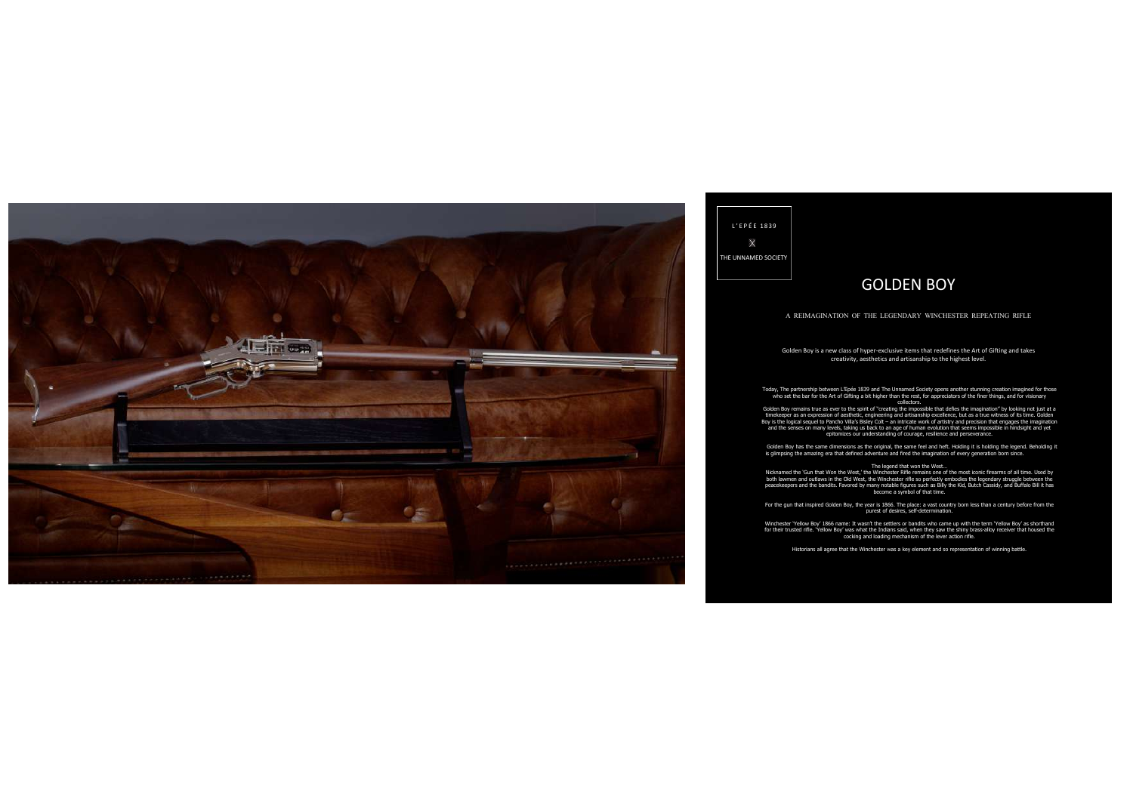

# L ' E P É E 1 8 3 9  $\mathbf{\hat{x}}$ THE UNNAMED SOCIETY

# GOLDEN BOY

### A REIMAGINATION OF THE LEGENDARY WINCHESTER REPEATING RIFLE

Golden Boy is a new class of hyper-exclusive items that redefines the Art of Gifting and takes creativity, aesthetics and artisanship to the highest level.

Today, The partnership between L'Epée 1839 and The Unnamed Society opens another stunning creation imagined for those who set the bar for the Art of Gifting a bit higher than the rest, for appreciators of the finer things, and for visionary collectors.

Golden Boy remains true as ever to the spirit of "creating the impossible that defies the imagination" by looking not just at a<br>timekeeper as an expression of aesthetic, engineering and artisanship excellence, but as a tru Boy is the logical sequel to Pancho Villa's Bisley Colt – an intricate work of artistry and precision that engages the imagination<br>and the senses on many levels, taking us back to an age of human evolution that seems impos

Golden Boy has the same dimensions as the original, the same feel and heft. Holding it is holding the legend. Beholding it is glimpsing the amazing era that defined adventure and fired the imagination of every generation born since.

#### The legend that won the West…

Nicknamed the 'Gun that Won the West,' the Winchester Rifle remains one of the most iconic firearms of all time. Used by both lawmen and outlaws in the Old West, the Winchester rifle so perfectly embodies the legendary struggle between the<br>peacekeepers and the bandits. Favored by many notable figures such as Billy the Kid, Butch Cassidy, and become a symbol of that time.

For the gun that inspired Golden Boy, the year is 1866. The place: a vast country born less than a century before from the purest of desires, self-determination.

Winchester 'Yellow Boy' 1866 name: It wasn't the settlers or bandits who came up with the term 'Yellow Boy' as shorthand for their trusted rifle. 'Yellow Boy' was what the Indians said, when they saw the shiny brass-alloy receiver that housed the cocking and loading mechanism of the lever action rifle.

Historians all agree that the Winchester was a key element and so representation of winning battle.